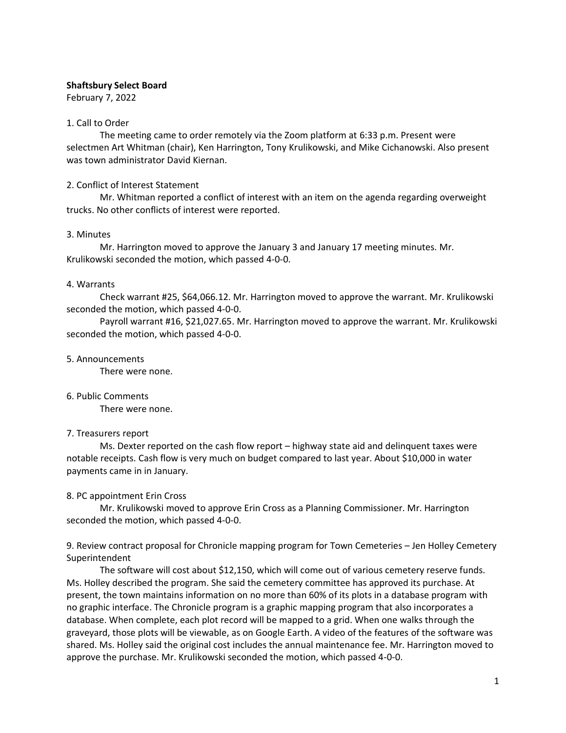#### **Shaftsbury Select Board**

February 7, 2022

#### 1. Call to Order

The meeting came to order remotely via the Zoom platform at 6:33 p.m. Present were selectmen Art Whitman (chair), Ken Harrington, Tony Krulikowski, and Mike Cichanowski. Also present was town administrator David Kiernan.

#### 2. Conflict of Interest Statement

Mr. Whitman reported a conflict of interest with an item on the agenda regarding overweight trucks. No other conflicts of interest were reported.

#### 3. Minutes

Mr. Harrington moved to approve the January 3 and January 17 meeting minutes. Mr. Krulikowski seconded the motion, which passed 4-0-0.

#### 4. Warrants

Check warrant #25, \$64,066.12. Mr. Harrington moved to approve the warrant. Mr. Krulikowski seconded the motion, which passed 4-0-0.

Payroll warrant #16, \$21,027.65. Mr. Harrington moved to approve the warrant. Mr. Krulikowski seconded the motion, which passed 4-0-0.

#### 5. Announcements

There were none.

## 6. Public Comments

There were none.

## 7. Treasurers report

Ms. Dexter reported on the cash flow report – highway state aid and delinquent taxes were notable receipts. Cash flow is very much on budget compared to last year. About \$10,000 in water payments came in in January.

## 8. PC appointment Erin Cross

Mr. Krulikowski moved to approve Erin Cross as a Planning Commissioner. Mr. Harrington seconded the motion, which passed 4-0-0.

## 9. Review contract proposal for Chronicle mapping program for Town Cemeteries – Jen Holley Cemetery Superintendent

The software will cost about \$12,150, which will come out of various cemetery reserve funds. Ms. Holley described the program. She said the cemetery committee has approved its purchase. At present, the town maintains information on no more than 60% of its plots in a database program with no graphic interface. The Chronicle program is a graphic mapping program that also incorporates a database. When complete, each plot record will be mapped to a grid. When one walks through the graveyard, those plots will be viewable, as on Google Earth. A video of the features of the software was shared. Ms. Holley said the original cost includes the annual maintenance fee. Mr. Harrington moved to approve the purchase. Mr. Krulikowski seconded the motion, which passed 4-0-0.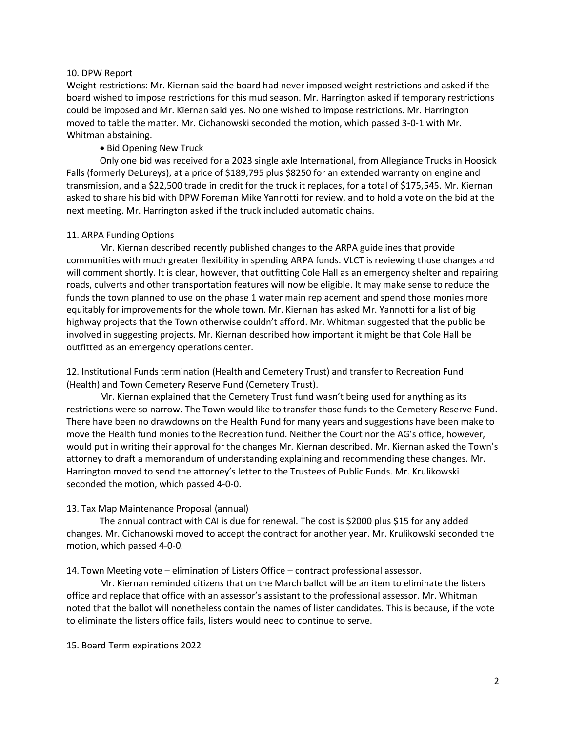#### 10. DPW Report

Weight restrictions: Mr. Kiernan said the board had never imposed weight restrictions and asked if the board wished to impose restrictions for this mud season. Mr. Harrington asked if temporary restrictions could be imposed and Mr. Kiernan said yes. No one wished to impose restrictions. Mr. Harrington moved to table the matter. Mr. Cichanowski seconded the motion, which passed 3-0-1 with Mr. Whitman abstaining.

## • Bid Opening New Truck

Only one bid was received for a 2023 single axle International, from Allegiance Trucks in Hoosick Falls (formerly DeLureys), at a price of \$189,795 plus \$8250 for an extended warranty on engine and transmission, and a \$22,500 trade in credit for the truck it replaces, for a total of \$175,545. Mr. Kiernan asked to share his bid with DPW Foreman Mike Yannotti for review, and to hold a vote on the bid at the next meeting. Mr. Harrington asked if the truck included automatic chains.

#### 11. ARPA Funding Options

Mr. Kiernan described recently published changes to the ARPA guidelines that provide communities with much greater flexibility in spending ARPA funds. VLCT is reviewing those changes and will comment shortly. It is clear, however, that outfitting Cole Hall as an emergency shelter and repairing roads, culverts and other transportation features will now be eligible. It may make sense to reduce the funds the town planned to use on the phase 1 water main replacement and spend those monies more equitably for improvements for the whole town. Mr. Kiernan has asked Mr. Yannotti for a list of big highway projects that the Town otherwise couldn't afford. Mr. Whitman suggested that the public be involved in suggesting projects. Mr. Kiernan described how important it might be that Cole Hall be outfitted as an emergency operations center.

12. Institutional Funds termination (Health and Cemetery Trust) and transfer to Recreation Fund (Health) and Town Cemetery Reserve Fund (Cemetery Trust).

Mr. Kiernan explained that the Cemetery Trust fund wasn't being used for anything as its restrictions were so narrow. The Town would like to transfer those funds to the Cemetery Reserve Fund. There have been no drawdowns on the Health Fund for many years and suggestions have been make to move the Health fund monies to the Recreation fund. Neither the Court nor the AG's office, however, would put in writing their approval for the changes Mr. Kiernan described. Mr. Kiernan asked the Town's attorney to draft a memorandum of understanding explaining and recommending these changes. Mr. Harrington moved to send the attorney's letter to the Trustees of Public Funds. Mr. Krulikowski seconded the motion, which passed 4-0-0.

## 13. Tax Map Maintenance Proposal (annual)

The annual contract with CAI is due for renewal. The cost is \$2000 plus \$15 for any added changes. Mr. Cichanowski moved to accept the contract for another year. Mr. Krulikowski seconded the motion, which passed 4-0-0.

14. Town Meeting vote – elimination of Listers Office – contract professional assessor.

Mr. Kiernan reminded citizens that on the March ballot will be an item to eliminate the listers office and replace that office with an assessor's assistant to the professional assessor. Mr. Whitman noted that the ballot will nonetheless contain the names of lister candidates. This is because, if the vote to eliminate the listers office fails, listers would need to continue to serve.

15. Board Term expirations 2022